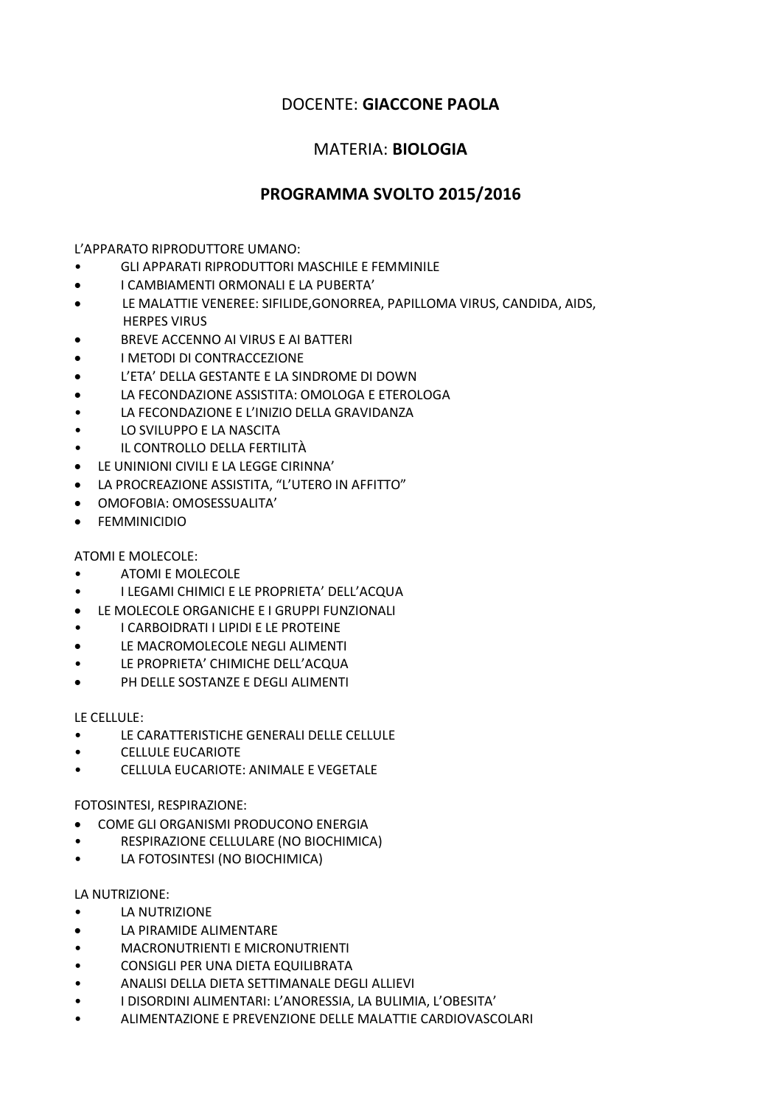## DOCENTE: **GIACCONE PAOLA**

## MATERIA: **BIOLOGIA**

## **PROGRAMMA SVOLTO 2015/2016**

L'APPARATO RIPRODUTTORE UMANO:

- GLI APPARATI RIPRODUTTORI MASCHILE E FEMMINILE
- I CAMBIAMENTI ORMONALI E LA PUBERTA'
- LE MALATTIE VENEREE: SIFILIDE,GONORREA, PAPILLOMA VIRUS, CANDIDA, AIDS, HERPES VIRUS
- BREVE ACCENNO AI VIRUS E AI BATTERI
- I METODI DI CONTRACCEZIONE
- L'ETA' DELLA GESTANTE E LA SINDROME DI DOWN
- LA FECONDAZIONE ASSISTITA: OMOLOGA E ETEROLOGA
- LA FECONDAZIONE E L'INIZIO DELLA GRAVIDANZA
- LO SVILUPPO E LA NASCITA
- IL CONTROLLO DELLA FERTILITÀ
- LE UNINIONI CIVILI E LA LEGGE CIRINNA'
- LA PROCREAZIONE ASSISTITA, "L'UTERO IN AFFITTO"
- OMOFOBIA: OMOSESSUALITA'
- FEMMINICIDIO

ATOMI E MOLECOLE:

- ATOMI E MOLECOLE
- I LEGAMI CHIMICI E LE PROPRIETA' DELL'ACQUA
- LE MOLECOLE ORGANICHE E I GRUPPI FUNZIONALI
- I CARBOIDRATI I LIPIDI E LE PROTEINE
- LE MACROMOLECOLE NEGLI ALIMENTI
- LE PROPRIETA' CHIMICHE DELL'ACQUA
- PH DELLE SOSTANZE E DEGLI ALIMENTI

LE CELLULE:

- LE CARATTERISTICHE GENERALI DELLE CELLULE
- CELLULE EUCARIOTE
- CELLULA EUCARIOTE: ANIMALE E VEGETALE

FOTOSINTESI, RESPIRAZIONE:

- COME GLI ORGANISMI PRODUCONO ENERGIA
- RESPIRAZIONE CELLULARE (NO BIOCHIMICA)
- LA FOTOSINTESI (NO BIOCHIMICA)

LA NUTRIZIONE:

- LA NUTRIZIONE
- LA PIRAMIDE ALIMENTARE
- MACRONUTRIENTI E MICRONUTRIENTI
- CONSIGLI PER UNA DIETA EQUILIBRATA
- ANALISI DELLA DIETA SETTIMANALE DEGLI ALLIEVI
- I DISORDINI ALIMENTARI: L'ANORESSIA, LA BULIMIA, L'OBESITA'
- ALIMENTAZIONE E PREVENZIONE DELLE MALATTIE CARDIOVASCOLARI